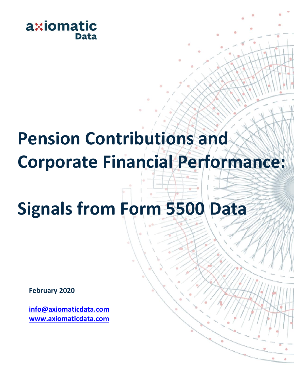

## **Pension Contributions and Corporate Financial Performance:**

# **Signals from Form 5500 Data**

**February 2020**

**info@axiomaticdata.com www.axiomaticdata.com**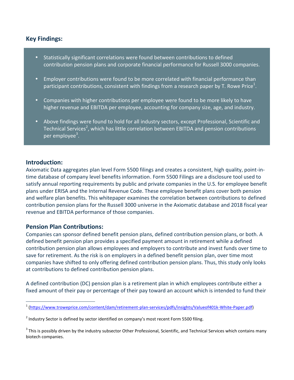## **Key Findings:**



### **Introduction:**

Axiomatic Data aggregates plan level Form 5500 filings and creates a consistent, high quality, point-in time database of company level benefits information. Form 5500 Filings are a disclosure tool used to satisfy annual reporting requirements by public and private companies in the U.S. for employee benefit plans under ERISA and the Internal Revenue Code. These employee benefit plans cover both pension and welfare plan benefits. This whitepaper examines the correlation between contributions to defined contribution pension plans for the Russell 3000 universe in the Axiomatic database and 2018 fiscal year revenue and EBITDA performance of those companies.

## **Pension Plan Contributions:**

Companies can sponsor defined benefit pension plans, defined contribution pension plans, or both. A defined benefit pension plan provides a specified payment amount in retirement while a defined contribution pension plan allows employees and employers to contribute and invest funds over time to save for retirement. As the risk is on employers in a defined benefit pension plan, over time most companies have shifted to only offering defined contribution pension plans. Thus, this study only looks at contributions to defined contribution pension plans.

A defined contribution (DC) pension plan is a retirement plan in which employees contribute either a fixed amount of their pay or percentage of their pay toward an account which is intended to fund their

<sup>&</sup>lt;sup>1</sup> (https://www.troweprice.com/content/dam/retirement-plan-services/pdfs/insights/Valueof401k-White-Paper.pdf)

 $^2$  Industry Sector is defined by sector identified on company's most recent Form 5500 filing.

 $3$  This is possibly driven by the industry subsector Other Professional, Scientific, and Technical Services which contains many biotech companies.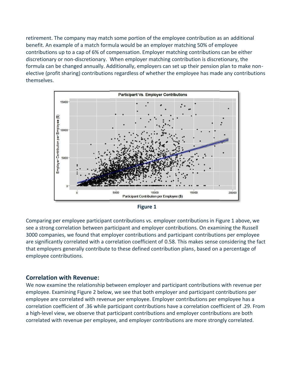retirement. The company may match some portion of the employee contribution as an additional The employee additional benefit. An example of a match formula would be an employer matching 50% of employee contributions up to a cap of 6% of compensation. Employer matching contributions can be either<br>discretionary or non-discretionary. When employer matching contribution is discretionary, the discretionary or non-discretionary. When employer matching contribution is discretionary, the formula can be changed annually. Additionally, employers can set up their pension plan to make non elective (profit sharing) contributions regardless of whether the employee has made any contributions themselves.





Comparing per employee participant contributions vs. employer contributions in Figure 1 above, we see a strong correlation between participant and employer contributions. On examining the Russell 3000 companies, we found that employer contributions and participant contributions per employee are significantly correlated with a correlation coefficient of 0.58. This makes sense considering the fact that employers generally contribute to these defined contribution plans, based on a percentage of employee contributions.

## **Correlation with Revenue:**

We now examine the relationship between employer and participant contributions with revenue per employee. Examining Figure 2 below, we see that both employer and participant contributions per employee are correlated with revenue per employee. Employer contributions per employee has a correlation coefficient of .36 wh employee are correlated with revenue per employee. Employer contributions per employee has a correlation coefficient of .36 while participant contributions have a correlation coefficient of .29. From a high-level view, we observe that participant contributions and employer contributions are both correlated with revenue per employee, and employer contributions are more strongly correlated. that employers generally contribute to these defined contribution plans, based on a percentage of<br>employee contributions.<br>**Correlation with Revenue:**<br>We now examine the relationship between employer and participant contrib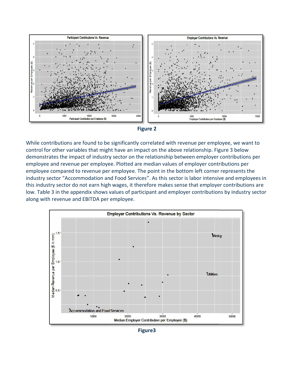



While contributions are found to be significantly correlated with revenue per employee, we want to control for other variables that might have an impact on the above relationship. Figure 3 below demonstrates the impact of industry sector on the relationship between employer contributions per employee and revenue per employee. Plotted are median values of employer contributions per While contributions are found to be significantly correlated with revenue per employee, we want to control for other variables that might have an impact on the above relationship. Figure 3 below demonstrates the impact of industry sector "Accommodation and Food Services". As this sector is labor intensive and employees in this industry sector do not earn high wages, it therefore makes sense that employer contributions are industry sector "Accommodation and Food Services". As this sector is labor intensive and employees in<br>this industry sector do not earn high wages, it therefore makes sense that employer contributions are<br>low. Table 3 in th along with revenue and EBITDA per employee.



**Figure3 Figure3**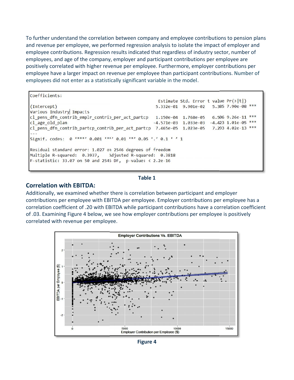To further understand the correlation between company and employee contributions to pension plans and revenue per employee, we performed regression analysis to isolate the impact of employer and employee contributions. Regression results indicated that regardless of industry sector, number of employees, and age of the company, employer and participant contributions per employee are positively correlated with higher revenue per employee. Furthermore, employer contributions per employee have a larger impact on revenue per employee than participant contributions. Number of employees did not enter as a statistically significant variable in the model. performed regression analysis to isolate the impact of employer and<br>sion results indicated that regardless of industry sector, number of<br>pany, employer and participant contributions per employee are<br>r revenue per employee.

and revenue per employee, we performed regression analysis to isolate the impact of employee and<br>employees, and age of the company, employer and participant contributions per employee are<br>employee contributions Regression

#### **Table 1**

#### **Correlation with EBITDA:**

Additionally, we examined whether there is correlation between participant and employer contributions per employee with EBITDA per employee. Employer contributions per employee has a correlation coefficient of .20 with EBITDA while participant contributions have a correlation coefficient of .03. Examining Figure 4 below, we see how employer contributions per employee is positively correlated with revenue per employee.



**Figure 4**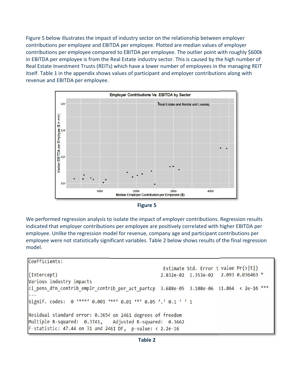Figure 5 below illustrates the impact of industry sector on the relationship between employer between contributions per employee and EBITDA per employee. Plotted are median values of employer contributions per employee and EBITDA per employee. Plotted are median values of employer<br>contributions per employee compared to EBITDA per employee. The outlier point with roughly \$600k in EBITDA per employee is from the Real Estate industry sector. This is caused by the high number of Real Estate Investment Trusts (REITs) which have a lower number of employees in the managing REIT itself. Table 1 in the appendix shows values of participant and employer contributions along with revenue and EBITDA per employee.



| <b>Figure 5</b> |  |
|-----------------|--|
|-----------------|--|

We performed regression analysis to isolate the impact of employer contributions. Regression results indicated that employer contributions per employee are positively correlated with higher EBITDA per employee. Unlike the regression model for revenue, company age and participant contributions per employee were not statistically significant variables. Table 2 below shows results of the final regression model.

```
Coefficients:
                                                   Estimate Std. Error t value Pr(>|t|)2.093 0.036463 *
(Intercept)
                                                  2.832e-02 1.353e-02
Various industry impacts
cl_pens_dfn_contrib_emplr_contrib_per_act_partcp 3.688e-05 3.108e-06 11.864 < 2e-16 ***
Signif. codes: 0 '***' 0.001 '**' 0.01 '*' 0.05 ',' 0.1 ' ' 1
Residual standard error: 0.3654 on 2461 degrees of freedom
Multiple R-squared: 0.3741,
                                Adjusted R-squared: 0.3662
F-statistic: 47.44 on 31 and 2461 DF, p-value: \langle 2.2e-16 \rangle
```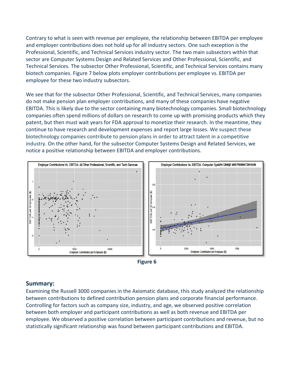Contrary to what is seen with revenue per employee, the relationship between EBITDA per employee<br>and employer contributions does not hold up for all industry sectors. One such exception is the<br>Professional, Scientific, and and employer contributions does not hold up for all industry sectors. One such exception is the Professional, Scientific, and Technical Services industry sector. The two main subsectors within that sector are Computer Systems Design and Related Services and Other Professional, Scientific, and Technical Services. The subsector Other Professional, Scientific, and Technical Services contains many biotech companies. Figure 7 below plots employer contributions per employee vs. EBITDA per employee for these two industry subsectors.

We see that for the subsector Other Professional, Scientific, and Technical Services, many companies do not make pension plan employer contributions, and many of these companies have negative EBITDA. This is likely due to the sector containing many biotechnology companies. Small biotechnology companies often spend millions of dollars on research to come up with promising products which they patent, but then must wait years for FDA approval to monetize their research. In the meantime, they continue to have research and development expenses and report large losses. We suspect these biotechnology companies contribute to pension plans in order to attract talent in a competitive industry. On the other hand, for the subsector Computer Systems Design and Related Services, we notice a positive relationship between EBITDA and employer contributions. do not make pension plan employer contributions, and many of these companies have negative EBITDA. This is likely due to the sector containing many biotechnology companies. Small biotechno<br>companies often spend millions of





#### **Summary:**

Examining the Russell 3000 companies in the Axiomatic database, this study analyzed the relationship between contributions to defined contribution pension plans and corporate financial performance. Controlling for factors such as company size, industry, and age, we observed positive correlation between both employer and participant contributions as well as both revenue and EBITDA per employee. We observed a positive correlation between participant contributions and revenue, but no statistically significant relationship was found between participant contributions and EBITDA.